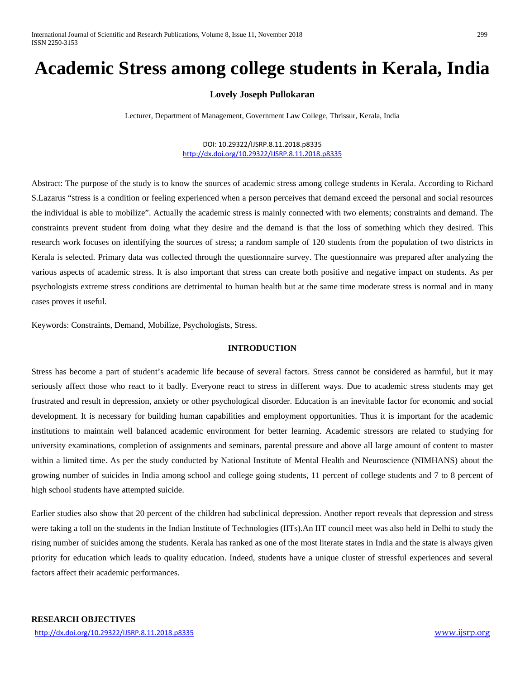# **Academic Stress among college students in Kerala, India**

# **Lovely Joseph Pullokaran**

Lecturer, Department of Management, Government Law College, Thrissur, Kerala, India

#### DOI: 10.29322/IJSRP.8.11.2018.p8335 <http://dx.doi.org/10.29322/IJSRP.8.11.2018.p8335>

Abstract: The purpose of the study is to know the sources of academic stress among college students in Kerala. According to Richard S.Lazarus "stress is a condition or feeling experienced when a person perceives that demand exceed the personal and social resources the individual is able to mobilize". Actually the academic stress is mainly connected with two elements; constraints and demand. The constraints prevent student from doing what they desire and the demand is that the loss of something which they desired. This research work focuses on identifying the sources of stress; a random sample of 120 students from the population of two districts in Kerala is selected. Primary data was collected through the questionnaire survey. The questionnaire was prepared after analyzing the various aspects of academic stress. It is also important that stress can create both positive and negative impact on students. As per psychologists extreme stress conditions are detrimental to human health but at the same time moderate stress is normal and in many cases proves it useful.

Keywords: Constraints, Demand, Mobilize, Psychologists, Stress.

#### **INTRODUCTION**

Stress has become a part of student's academic life because of several factors. Stress cannot be considered as harmful, but it may seriously affect those who react to it badly. Everyone react to stress in different ways. Due to academic stress students may get frustrated and result in depression, anxiety or other psychological disorder. Education is an inevitable factor for economic and social development. It is necessary for building human capabilities and employment opportunities. Thus it is important for the academic institutions to maintain well balanced academic environment for better learning. Academic stressors are related to studying for university examinations, completion of assignments and seminars, parental pressure and above all large amount of content to master within a limited time. As per the study conducted by National Institute of Mental Health and Neuroscience (NIMHANS) about the growing number of suicides in India among school and college going students, 11 percent of college students and 7 to 8 percent of high school students have attempted suicide.

Earlier studies also show that 20 percent of the children had subclinical depression. Another report reveals that depression and stress were taking a toll on the students in the Indian Institute of Technologies (IITs).An IIT council meet was also held in Delhi to study the rising number of suicides among the students. Kerala has ranked as one of the most literate states in India and the state is always given priority for education which leads to quality education. Indeed, students have a unique cluster of stressful experiences and several factors affect their academic performances.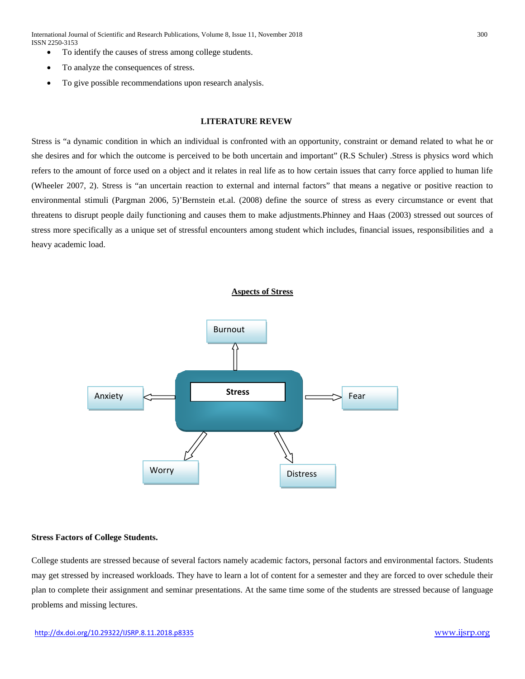International Journal of Scientific and Research Publications, Volume 8, Issue 11, November 2018 300 ISSN 2250-3153

- To identify the causes of stress among college students.
- To analyze the consequences of stress.
- To give possible recommendations upon research analysis.

#### **LITERATURE REVEW**

Stress is "a dynamic condition in which an individual is confronted with an opportunity, constraint or demand related to what he or she desires and for which the outcome is perceived to be both uncertain and important" (R.S Schuler) .Stress is physics word which refers to the amount of force used on a object and it relates in real life as to how certain issues that carry force applied to human life (Wheeler 2007, 2). Stress is "an uncertain reaction to external and internal factors" that means a negative or positive reaction to environmental stimuli (Pargman 2006, 5)'Bernstein et.al. (2008) define the source of stress as every circumstance or event that threatens to disrupt people daily functioning and causes them to make adjustments.Phinney and Haas (2003) stressed out sources of stress more specifically as a unique set of stressful encounters among student which includes, financial issues, responsibilities and a heavy academic load.





#### **Stress Factors of College Students.**

College students are stressed because of several factors namely academic factors, personal factors and environmental factors. Students may get stressed by increased workloads. They have to learn a lot of content for a semester and they are forced to over schedule their plan to complete their assignment and seminar presentations. At the same time some of the students are stressed because of language problems and missing lectures.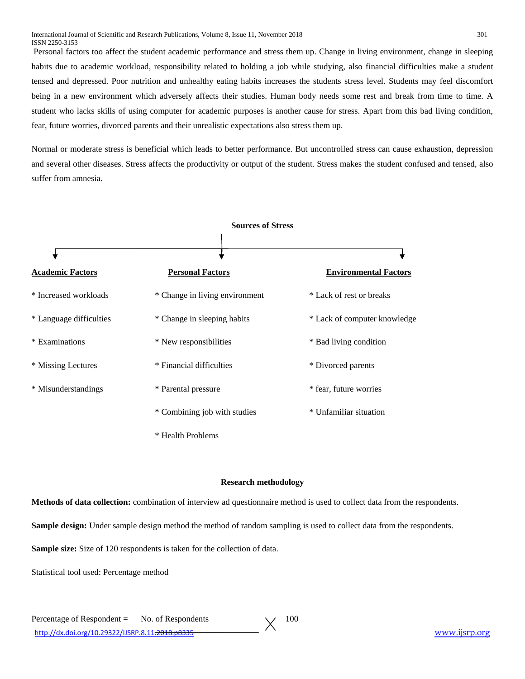Personal factors too affect the student academic performance and stress them up. Change in living environment, change in sleeping habits due to academic workload, responsibility related to holding a job while studying, also financial difficulties make a student tensed and depressed. Poor nutrition and unhealthy eating habits increases the students stress level. Students may feel discomfort being in a new environment which adversely affects their studies. Human body needs some rest and break from time to time. A student who lacks skills of using computer for academic purposes is another cause for stress. Apart from this bad living condition, fear, future worries, divorced parents and their unrealistic expectations also stress them up.

Normal or moderate stress is beneficial which leads to better performance. But uncontrolled stress can cause exhaustion, depression and several other diseases. Stress affects the productivity or output of the student. Stress makes the student confused and tensed, also suffer from amnesia.



#### **Research methodology**

**Methods of data collection:** combination of interview ad questionnaire method is used to collect data from the respondents.

**Sample design:** Under sample design method the method of random sampling is used to collect data from the respondents.

**Sample size:** Size of 120 respondents is taken for the collection of data.

Statistical tool used: Percentage method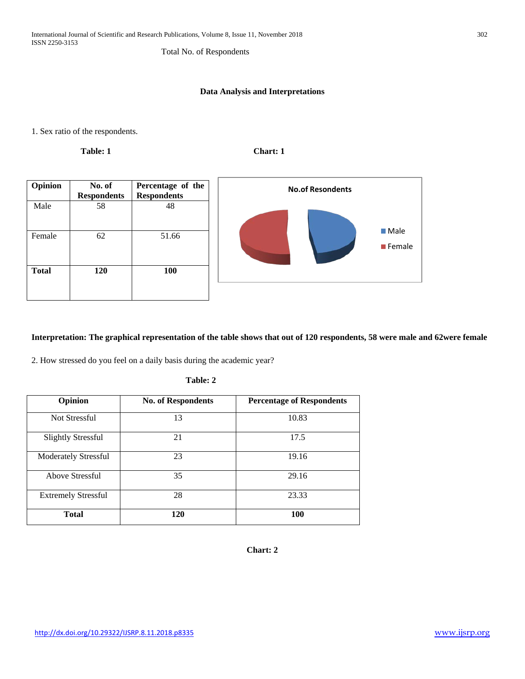# Total No. of Respondents

### **Data Analysis and Interpretations**

1. Sex ratio of the respondents.

**Table: 1** Chart: 1



### **Interpretation: The graphical representation of the table shows that out of 120 respondents, 58 were male and 62were female**

2. How stressed do you feel on a daily basis during the academic year?

| l`able: |  |
|---------|--|
|---------|--|

| Opinion                     | <b>No. of Respondents</b> | <b>Percentage of Respondents</b> |
|-----------------------------|---------------------------|----------------------------------|
| Not Stressful               | 13                        | 10.83                            |
| <b>Slightly Stressful</b>   | 21                        | 17.5                             |
| <b>Moderately Stressful</b> | 23                        | 19.16                            |
| Above Stressful             | 35                        | 29.16                            |
| <b>Extremely Stressful</b>  | 28                        | 23.33                            |
| <b>Total</b>                | 120                       | 100                              |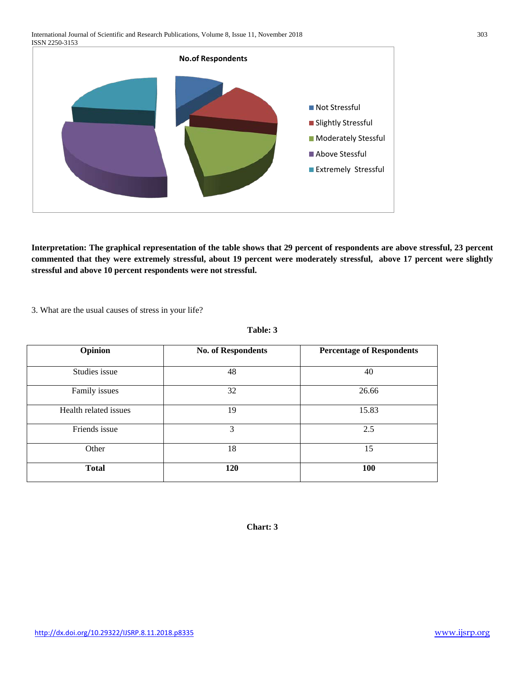

**Interpretation: The graphical representation of the table shows that 29 percent of respondents are above stressful, 23 percent commented that they were extremely stressful, about 19 percent were moderately stressful, above 17 percent were slightly stressful and above 10 percent respondents were not stressful.**

3. What are the usual causes of stress in your life?

**Table: 3**

| Opinion               | <b>No. of Respondents</b> | <b>Percentage of Respondents</b> |
|-----------------------|---------------------------|----------------------------------|
| Studies issue         | 48                        | 40                               |
| Family issues         | 32                        | 26.66                            |
| Health related issues | 19                        | 15.83                            |
| Friends issue         | 3                         | 2.5                              |
| Other                 | 18                        | 15                               |
| <b>Total</b>          | 120                       | 100                              |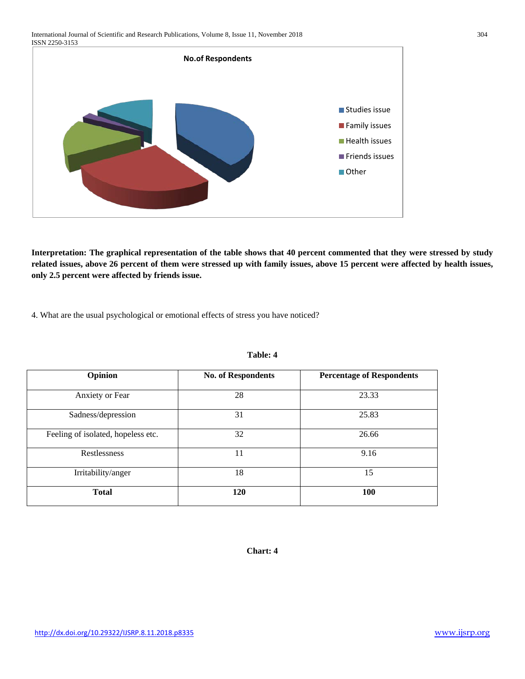

**Interpretation: The graphical representation of the table shows that 40 percent commented that they were stressed by study related issues, above 26 percent of them were stressed up with family issues, above 15 percent were affected by health issues, only 2.5 percent were affected by friends issue.**

4. What are the usual psychological or emotional effects of stress you have noticed?

| Opinion                            | <b>No. of Respondents</b> | <b>Percentage of Respondents</b> |
|------------------------------------|---------------------------|----------------------------------|
| Anxiety or Fear                    | 28                        | 23.33                            |
| Sadness/depression                 | 31                        | 25.83                            |
| Feeling of isolated, hopeless etc. | 32                        | 26.66                            |
| Restlessness                       | 11                        | 9.16                             |
| Irritability/anger                 | 18                        | 15                               |
| <b>Total</b>                       | 120                       | 100                              |

#### **Table: 4**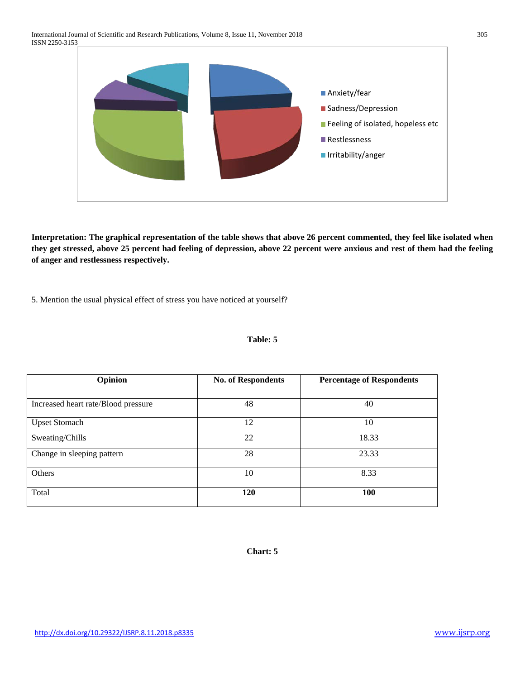

**Interpretation: The graphical representation of the table shows that above 26 percent commented, they feel like isolated when they get stressed, above 25 percent had feeling of depression, above 22 percent were anxious and rest of them had the feeling of anger and restlessness respectively.**

5. Mention the usual physical effect of stress you have noticed at yourself?

| Opinion                             | <b>No. of Respondents</b> | <b>Percentage of Respondents</b> |
|-------------------------------------|---------------------------|----------------------------------|
|                                     |                           |                                  |
| Increased heart rate/Blood pressure | 48                        | 40                               |
|                                     |                           |                                  |
| <b>Upset Stomach</b>                | 12                        | 10                               |
| Sweating/Chills                     | 22                        | 18.33                            |
| Change in sleeping pattern          | 28                        | 23.33                            |
| Others                              | 10                        | 8.33                             |
| Total                               | 120                       | 100                              |

### **Table: 5**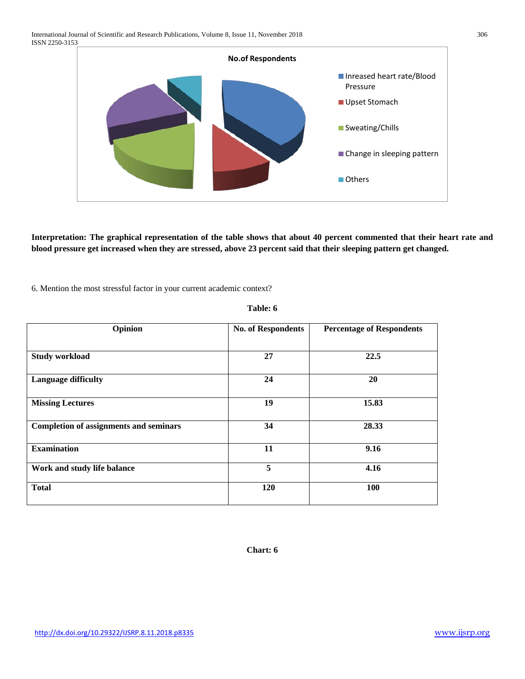**No.of Respondents** ■ Inreased heart rate/Blood Pressure Upset Stomach ■ Sweating/Chills Change in sleeping pattern Others

**Interpretation: The graphical representation of the table shows that about 40 percent commented that their heart rate and blood pressure get increased when they are stressed, above 23 percent said that their sleeping pattern get changed.**

6. Mention the most stressful factor in your current academic context?

| Opinion                                       | <b>No. of Respondents</b> | <b>Percentage of Respondents</b> |
|-----------------------------------------------|---------------------------|----------------------------------|
|                                               |                           |                                  |
| <b>Study workload</b>                         | 27                        | 22.5                             |
| <b>Language difficulty</b>                    | 24                        | 20                               |
| <b>Missing Lectures</b>                       | 19                        | 15.83                            |
| <b>Completion of assignments and seminars</b> | 34                        | 28.33                            |
| <b>Examination</b>                            | 11                        | 9.16                             |
| Work and study life balance                   | 5                         | 4.16                             |
| <b>Total</b>                                  | 120                       | <b>100</b>                       |

#### **Table: 6**

**Chart: 6**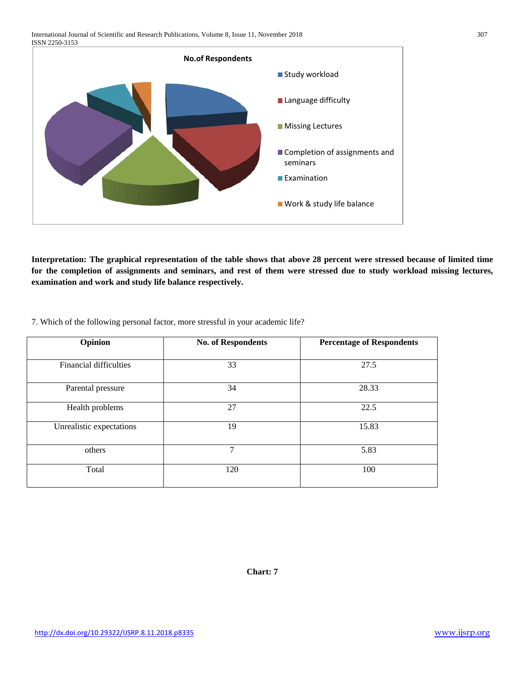International Journal of Scientific and Research Publications, Volume 8, Issue 11, November 2018 307 ISSN 2250-3153



**Interpretation: The graphical representation of the table shows that above 28 percent were stressed because of limited time for the completion of assignments and seminars, and rest of them were stressed due to study workload missing lectures, examination and work and study life balance respectively.**

|  | 7. Which of the following personal factor, more stressful in your academic life? |  |
|--|----------------------------------------------------------------------------------|--|
|--|----------------------------------------------------------------------------------|--|

| Opinion                       | <b>No. of Respondents</b> | <b>Percentage of Respondents</b> |
|-------------------------------|---------------------------|----------------------------------|
| <b>Financial difficulties</b> | 33                        | 27.5                             |
| Parental pressure             | 34                        | 28.33                            |
| Health problems               | 27                        | 22.5                             |
| Unrealistic expectations      | 19                        | 15.83                            |
| others                        | $\overline{7}$            | 5.83                             |
| Total                         | 120                       | 100                              |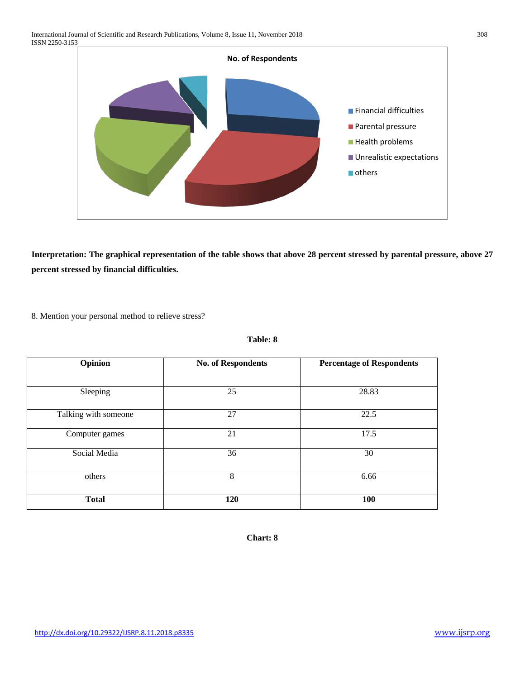

**Interpretation: The graphical representation of the table shows that above 28 percent stressed by parental pressure, above 27 percent stressed by financial difficulties.**

8. Mention your personal method to relieve stress?

| 'able: | Х |
|--------|---|
|--------|---|

| Opinion              | <b>No. of Respondents</b> | <b>Percentage of Respondents</b> |
|----------------------|---------------------------|----------------------------------|
| Sleeping             | 25                        | 28.83                            |
| Talking with someone | 27                        | 22.5                             |
| Computer games       | 21                        | 17.5                             |
| Social Media         | 36                        | 30                               |
| others               | 8                         | 6.66                             |
| <b>Total</b>         | 120                       | 100                              |

**Chart: 8**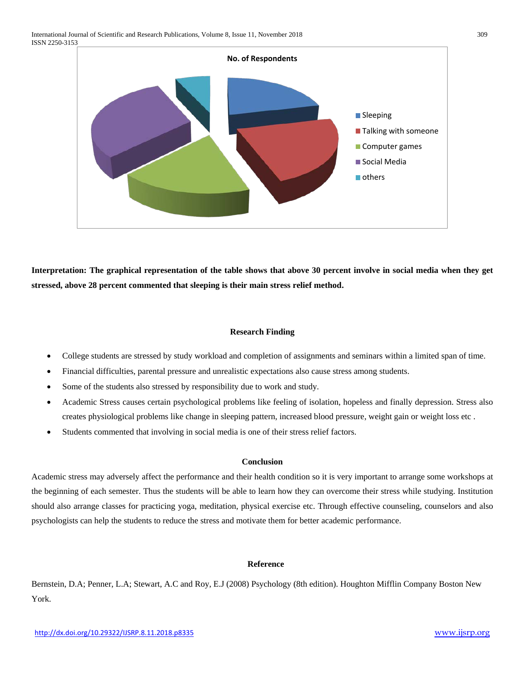

**Interpretation: The graphical representation of the table shows that above 30 percent involve in social media when they get stressed, above 28 percent commented that sleeping is their main stress relief method.**

# **Research Finding**

- College students are stressed by study workload and completion of assignments and seminars within a limited span of time.
- Financial difficulties, parental pressure and unrealistic expectations also cause stress among students.
- Some of the students also stressed by responsibility due to work and study.
- Academic Stress causes certain psychological problems like feeling of isolation, hopeless and finally depression. Stress also creates physiological problems like change in sleeping pattern, increased blood pressure, weight gain or weight loss etc .
- Students commented that involving in social media is one of their stress relief factors.

### **Conclusion**

Academic stress may adversely affect the performance and their health condition so it is very important to arrange some workshops at the beginning of each semester. Thus the students will be able to learn how they can overcome their stress while studying. Institution should also arrange classes for practicing yoga, meditation, physical exercise etc. Through effective counseling, counselors and also psychologists can help the students to reduce the stress and motivate them for better academic performance.

# **Reference**

Bernstein, D.A; Penner, L.A; Stewart, A.C and Roy, E.J (2008) Psychology (8th edition). Houghton Mifflin Company Boston New York.